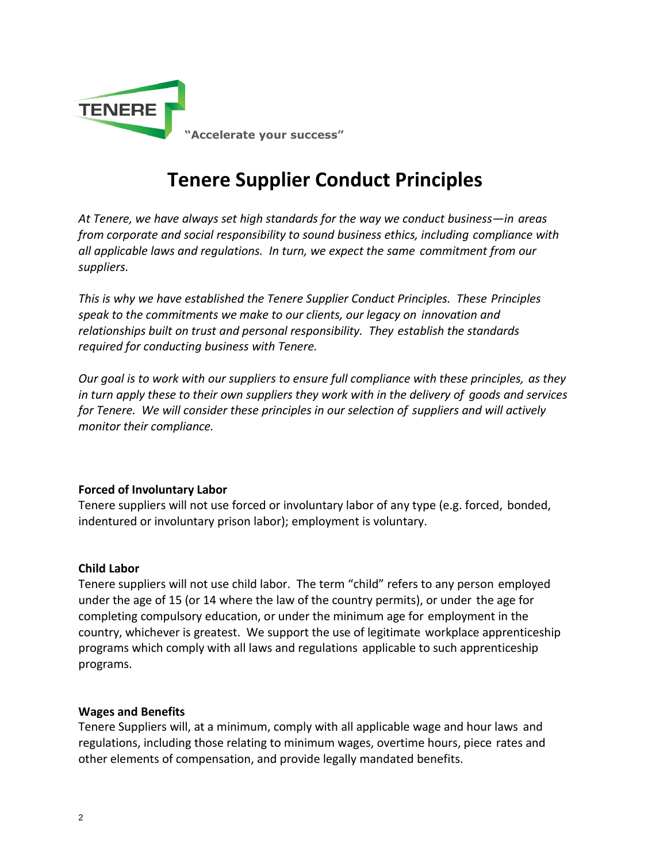

# **Tenere Supplier Conduct Principles**

*At Tenere, we have always set high standards for the way we conduct business—in areas from corporate and social responsibility to sound business ethics, including compliance with all applicable laws and regulations. In turn, we expect the same commitment from our suppliers.*

*This is why we have established the Tenere Supplier Conduct Principles. These Principles speak to the commitments we make to our clients, our legacy on innovation and relationships built on trust and personal responsibility. They establish the standards required for conducting business with Tenere.*

*Our goal is to work with our suppliers to ensure full compliance with these principles, as they in turn apply these to their own suppliers they work with in the delivery of goods and services for Tenere. We will consider these principles in our selection of suppliers and will actively monitor their compliance.*

# **Forced of Involuntary Labor**

Tenere suppliers will not use forced or involuntary labor of any type (e.g. forced, bonded, indentured or involuntary prison labor); employment is voluntary.

## **Child Labor**

Tenere suppliers will not use child labor. The term "child" refers to any person employed under the age of 15 (or 14 where the law of the country permits), or under the age for completing compulsory education, or under the minimum age for employment in the country, whichever is greatest. We support the use of legitimate workplace apprenticeship programs which comply with all laws and regulations applicable to such apprenticeship programs.

## **Wages and Benefits**

Tenere Suppliers will, at a minimum, comply with all applicable wage and hour laws and regulations, including those relating to minimum wages, overtime hours, piece rates and other elements of compensation, and provide legally mandated benefits.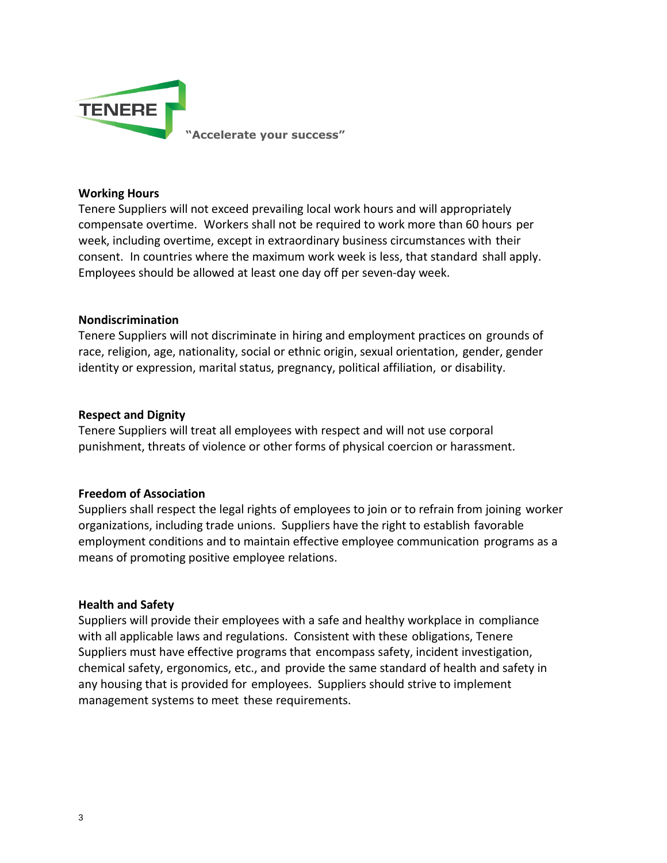

**"Accelerate your success"**

### **Working Hours**

Tenere Suppliers will not exceed prevailing local work hours and will appropriately compensate overtime. Workers shall not be required to work more than 60 hours per week, including overtime, except in extraordinary business circumstances with their consent. In countries where the maximum work week is less, that standard shall apply. Employees should be allowed at least one day off per seven-day week.

#### **Nondiscrimination**

Tenere Suppliers will not discriminate in hiring and employment practices on grounds of race, religion, age, nationality, social or ethnic origin, sexual orientation, gender, gender identity or expression, marital status, pregnancy, political affiliation, or disability.

#### **Respect and Dignity**

Tenere Suppliers will treat all employees with respect and will not use corporal punishment, threats of violence or other forms of physical coercion or harassment.

# **Freedom of Association**

Suppliers shall respect the legal rights of employees to join or to refrain from joining worker organizations, including trade unions. Suppliers have the right to establish favorable employment conditions and to maintain effective employee communication programs as a means of promoting positive employee relations.

#### **Health and Safety**

Suppliers will provide their employees with a safe and healthy workplace in compliance with all applicable laws and regulations. Consistent with these obligations, Tenere Suppliers must have effective programs that encompass safety, incident investigation, chemical safety, ergonomics, etc., and provide the same standard of health and safety in any housing that is provided for employees. Suppliers should strive to implement management systems to meet these requirements.